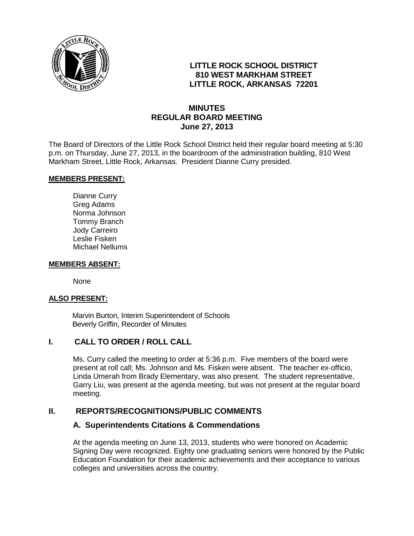

# **LITTLE ROCK SCHOOL DISTRICT 810 WEST MARKHAM STREET LITTLE ROCK, ARKANSAS 72201**

# **MINUTES REGULAR BOARD MEETING June 27, 2013**

The Board of Directors of the Little Rock School District held their regular board meeting at 5:30 p.m. on Thursday, June 27, 2013, in the boardroom of the administration building, 810 West Markham Street, Little Rock, Arkansas. President Dianne Curry presided.

#### **MEMBERS PRESENT:**

Dianne Curry Greg Adams Norma Johnson Tommy Branch Jody Carreiro Leslie Fisken Michael Nellums

#### **MEMBERS ABSENT:**

None

#### **ALSO PRESENT:**

 Marvin Burton, Interim Superintendent of Schools Beverly Griffin, Recorder of Minutes

## **I. CALL TO ORDER / ROLL CALL**

Ms. Curry called the meeting to order at 5:36 p.m. Five members of the board were present at roll call; Ms. Johnson and Ms. Fisken were absent. The teacher ex-officio, Linda Umerah from Brady Elementary, was also present. The student representative, Garry Liu, was present at the agenda meeting, but was not present at the regular board meeting.

#### **II. REPORTS/RECOGNITIONS/PUBLIC COMMENTS**

#### **A. Superintendents Citations & Commendations**

At the agenda meeting on June 13, 2013, students who were honored on Academic Signing Day were recognized. Eighty one graduating seniors were honored by the Public Education Foundation for their academic achievements and their acceptance to various colleges and universities across the country.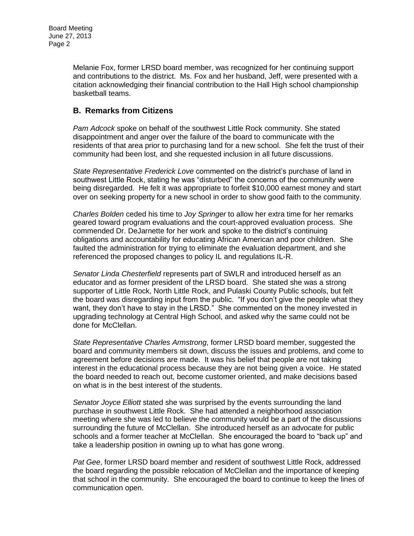Melanie Fox, former LRSD board member, was recognized for her continuing support and contributions to the district. Ms. Fox and her husband, Jeff, were presented with a citation acknowledging their financial contribution to the Hall High school championship basketball teams.

# **B. Remarks from Citizens**

*Pam Adcock* spoke on behalf of the southwest Little Rock community. She stated disappointment and anger over the failure of the board to communicate with the residents of that area prior to purchasing land for a new school. She felt the trust of their community had been lost, and she requested inclusion in all future discussions.

*State Representative Frederick Love* commented on the district's purchase of land in southwest Little Rock, stating he was "disturbed" the concerns of the community were being disregarded. He felt it was appropriate to forfeit \$10,000 earnest money and start over on seeking property for a new school in order to show good faith to the community.

*Charles Bolden* ceded his time to *Joy Springer* to allow her extra time for her remarks geared toward program evaluations and the court-approved evaluation process. She commended Dr. DeJarnette for her work and spoke to the district's continuing obligations and accountability for educating African American and poor children. She faulted the administration for trying to eliminate the evaluation department, and she referenced the proposed changes to policy IL and regulations IL-R.

*Senator Linda Chesterfield* represents part of SWLR and introduced herself as an educator and as former president of the LRSD board. She stated she was a strong supporter of Little Rock, North Little Rock, and Pulaski County Public schools, but felt the board was disregarding input from the public. "If you don't give the people what they want, they don't have to stay in the LRSD." She commented on the money invested in upgrading technology at Central High School, and asked why the same could not be done for McClellan.

*State Representative Charles Armstrong*, former LRSD board member, suggested the board and community members sit down, discuss the issues and problems, and come to agreement before decisions are made. It was his belief that people are not taking interest in the educational process because they are not being given a voice. He stated the board needed to reach out, become customer oriented, and make decisions based on what is in the best interest of the students.

*Senator Joyce Elliott* stated she was surprised by the events surrounding the land purchase in southwest Little Rock. She had attended a neighborhood association meeting where she was led to believe the community would be a part of the discussions surrounding the future of McClellan. She introduced herself as an advocate for public schools and a former teacher at McClellan. She encouraged the board to "back up" and take a leadership position in owning up to what has gone wrong.

*Pat Gee*, former LRSD board member and resident of southwest Little Rock, addressed the board regarding the possible relocation of McClellan and the importance of keeping that school in the community. She encouraged the board to continue to keep the lines of communication open.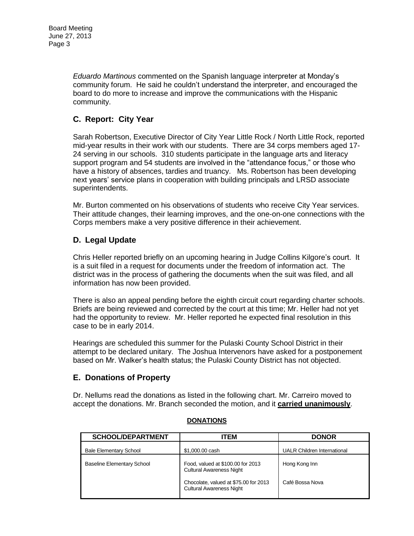*Eduardo Martinous* commented on the Spanish language interpreter at Monday's community forum. He said he couldn't understand the interpreter, and encouraged the board to do more to increase and improve the communications with the Hispanic community.

# **C. Report: City Year**

Sarah Robertson, Executive Director of City Year Little Rock / North Little Rock, reported mid-year results in their work with our students. There are 34 corps members aged 17- 24 serving in our schools. 310 students participate in the language arts and literacy support program and 54 students are involved in the "attendance focus," or those who have a history of absences, tardies and truancy. Ms. Robertson has been developing next years' service plans in cooperation with building principals and LRSD associate superintendents.

Mr. Burton commented on his observations of students who receive City Year services. Their attitude changes, their learning improves, and the one-on-one connections with the Corps members make a very positive difference in their achievement.

# **D. Legal Update**

Chris Heller reported briefly on an upcoming hearing in Judge Collins Kilgore's court. It is a suit filed in a request for documents under the freedom of information act. The district was in the process of gathering the documents when the suit was filed, and all information has now been provided.

There is also an appeal pending before the eighth circuit court regarding charter schools. Briefs are being reviewed and corrected by the court at this time; Mr. Heller had not yet had the opportunity to review. Mr. Heller reported he expected final resolution in this case to be in early 2014.

Hearings are scheduled this summer for the Pulaski County School District in their attempt to be declared unitary. The Joshua Intervenors have asked for a postponement based on Mr. Walker's health status; the Pulaski County District has not objected.

# **E. Donations of Property**

Dr. Nellums read the donations as listed in the following chart. Mr. Carreiro moved to accept the donations. Mr. Branch seconded the motion, and it **carried unanimously**.

| <b>SCHOOL/DEPARTMENT</b>          | ITEM                                                                                                          | <b>DONOR</b>                     |
|-----------------------------------|---------------------------------------------------------------------------------------------------------------|----------------------------------|
| <b>Bale Elementary School</b>     | \$1,000.00 cash                                                                                               | UALR Children International      |
| <b>Baseline Elementary School</b> | Food, valued at \$100.00 for 2013<br><b>Cultural Awareness Night</b><br>Chocolate, valued at \$75.00 for 2013 | Hong Kong Inn<br>Café Bossa Nova |
|                                   | <b>Cultural Awareness Night</b>                                                                               |                                  |

## **DONATIONS**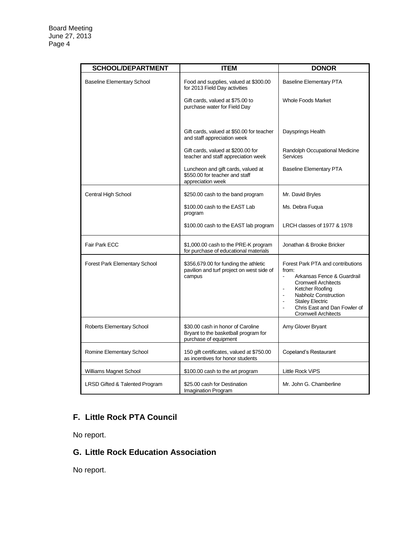| <b>SCHOOL/DEPARTMENT</b>          | <b>ITEM</b>                                                                                        | <b>DONOR</b>                                                                                                                                                                                                                                                                                                |
|-----------------------------------|----------------------------------------------------------------------------------------------------|-------------------------------------------------------------------------------------------------------------------------------------------------------------------------------------------------------------------------------------------------------------------------------------------------------------|
| <b>Baseline Elementary School</b> | Food and supplies, valued at \$300.00<br>for 2013 Field Day activities                             | <b>Baseline Elementary PTA</b>                                                                                                                                                                                                                                                                              |
|                                   | Gift cards, valued at \$75.00 to<br>purchase water for Field Day                                   | <b>Whole Foods Market</b>                                                                                                                                                                                                                                                                                   |
|                                   | Gift cards, valued at \$50.00 for teacher<br>and staff appreciation week                           | Daysprings Health                                                                                                                                                                                                                                                                                           |
|                                   | Gift cards, valued at \$200.00 for<br>teacher and staff appreciation week                          | Randolph Occupational Medicine<br><b>Services</b>                                                                                                                                                                                                                                                           |
|                                   | Luncheon and gift cards, valued at<br>\$550.00 for teacher and staff<br>appreciation week          | <b>Baseline Elementary PTA</b>                                                                                                                                                                                                                                                                              |
| Central High School               | \$250.00 cash to the band program                                                                  | Mr. David Bryles                                                                                                                                                                                                                                                                                            |
|                                   | \$100.00 cash to the EAST Lab<br>program                                                           | Ms. Debra Fugua                                                                                                                                                                                                                                                                                             |
|                                   | \$100.00 cash to the EAST lab program                                                              | LRCH classes of 1977 & 1978                                                                                                                                                                                                                                                                                 |
| Fair Park ECC                     | \$1,000.00 cash to the PRE-K program<br>for purchase of educational materials                      | Jonathan & Brooke Bricker                                                                                                                                                                                                                                                                                   |
| Forest Park Elementary School     | \$356,679.00 for funding the athletic<br>pavilion and turf project on west side of<br>campus       | Forest Park PTA and contributions<br>from:<br>Arkansas Fence & Guardrail<br>$\blacksquare$<br><b>Cromwell Architects</b><br>Ketcher Roofing<br>÷,<br>Nabholz Construction<br>$\blacksquare$<br><b>Staley Electric</b><br>÷,<br>Chris East and Dan Fowler of<br>$\overline{a}$<br><b>Cromwell Architects</b> |
| Roberts Elementary School         | \$30.00 cash in honor of Caroline<br>Bryant to the basketball program for<br>purchase of equipment | Amy Glover Bryant                                                                                                                                                                                                                                                                                           |
| Romine Elementary School          | 150 gift certificates, valued at \$750.00<br>as incentives for honor students                      | Copeland's Restaurant                                                                                                                                                                                                                                                                                       |
| Williams Magnet School            | \$100.00 cash to the art program                                                                   | Little Rock ViPS                                                                                                                                                                                                                                                                                            |
| LRSD Gifted & Talented Program    | \$25.00 cash for Destination<br>Imagination Program                                                | Mr. John G. Chamberline                                                                                                                                                                                                                                                                                     |

# **F. Little Rock PTA Council**

No report.

# **G. Little Rock Education Association**

No report.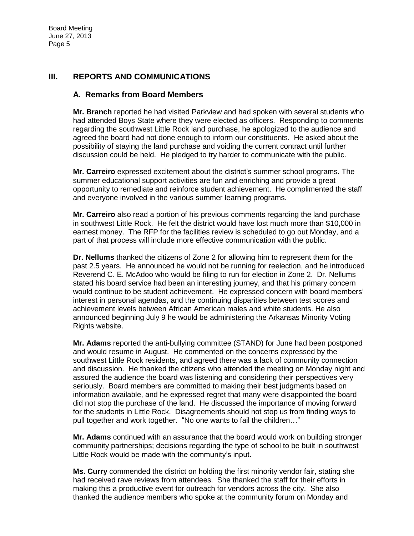## **III. REPORTS AND COMMUNICATIONS**

#### **A. Remarks from Board Members**

**Mr. Branch** reported he had visited Parkview and had spoken with several students who had attended Boys State where they were elected as officers. Responding to comments regarding the southwest Little Rock land purchase, he apologized to the audience and agreed the board had not done enough to inform our constituents. He asked about the possibility of staying the land purchase and voiding the current contract until further discussion could be held. He pledged to try harder to communicate with the public.

**Mr. Carreiro** expressed excitement about the district's summer school programs. The summer educational support activities are fun and enriching and provide a great opportunity to remediate and reinforce student achievement. He complimented the staff and everyone involved in the various summer learning programs.

**Mr. Carreiro** also read a portion of his previous comments regarding the land purchase in southwest Little Rock. He felt the district would have lost much more than \$10,000 in earnest money. The RFP for the facilities review is scheduled to go out Monday, and a part of that process will include more effective communication with the public.

**Dr. Nellums** thanked the citizens of Zone 2 for allowing him to represent them for the past 2.5 years. He announced he would not be running for reelection, and he introduced Reverend C. E. McAdoo who would be filing to run for election in Zone 2. Dr. Nellums stated his board service had been an interesting journey, and that his primary concern would continue to be student achievement. He expressed concern with board members' interest in personal agendas, and the continuing disparities between test scores and achievement levels between African American males and white students. He also announced beginning July 9 he would be administering the Arkansas Minority Voting Rights website.

**Mr. Adams** reported the anti-bullying committee (STAND) for June had been postponed and would resume in August. He commented on the concerns expressed by the southwest Little Rock residents, and agreed there was a lack of community connection and discussion. He thanked the citizens who attended the meeting on Monday night and assured the audience the board was listening and considering their perspectives very seriously. Board members are committed to making their best judgments based on information available, and he expressed regret that many were disappointed the board did not stop the purchase of the land. He discussed the importance of moving forward for the students in Little Rock. Disagreements should not stop us from finding ways to pull together and work together. "No one wants to fail the children…"

**Mr. Adams** continued with an assurance that the board would work on building stronger community partnerships; decisions regarding the type of school to be built in southwest Little Rock would be made with the community's input.

**Ms. Curry** commended the district on holding the first minority vendor fair, stating she had received rave reviews from attendees. She thanked the staff for their efforts in making this a productive event for outreach for vendors across the city. She also thanked the audience members who spoke at the community forum on Monday and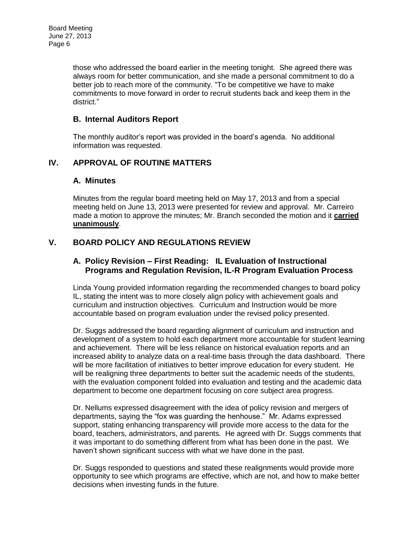those who addressed the board earlier in the meeting tonight. She agreed there was always room for better communication, and she made a personal commitment to do a better job to reach more of the community. "To be competitive we have to make commitments to move forward in order to recruit students back and keep them in the district."

## **B. Internal Auditors Report**

The monthly auditor's report was provided in the board's agenda. No additional information was requested.

# **IV. APPROVAL OF ROUTINE MATTERS**

## **A. Minutes**

Minutes from the regular board meeting held on May 17, 2013 and from a special meeting held on June 13, 2013 were presented for review and approval. Mr. Carreiro made a motion to approve the minutes; Mr. Branch seconded the motion and it **carried unanimously**.

# **V. BOARD POLICY AND REGULATIONS REVIEW**

## **A. Policy Revision – First Reading: IL Evaluation of Instructional Programs and Regulation Revision, IL-R Program Evaluation Process**

Linda Young provided information regarding the recommended changes to board policy IL, stating the intent was to more closely align policy with achievement goals and curriculum and instruction objectives. Curriculum and Instruction would be more accountable based on program evaluation under the revised policy presented.

Dr. Suggs addressed the board regarding alignment of curriculum and instruction and development of a system to hold each department more accountable for student learning and achievement. There will be less reliance on historical evaluation reports and an increased ability to analyze data on a real-time basis through the data dashboard. There will be more facilitation of initiatives to better improve education for every student. He will be realigning three departments to better suit the academic needs of the students, with the evaluation component folded into evaluation and testing and the academic data department to become one department focusing on core subject area progress.

Dr. Nellums expressed disagreement with the idea of policy revision and mergers of departments, saying the "fox was guarding the henhouse." Mr. Adams expressed support, stating enhancing transparency will provide more access to the data for the board, teachers, administrators, and parents. He agreed with Dr. Suggs comments that it was important to do something different from what has been done in the past. We haven't shown significant success with what we have done in the past.

Dr. Suggs responded to questions and stated these realignments would provide more opportunity to see which programs are effective, which are not, and how to make better decisions when investing funds in the future.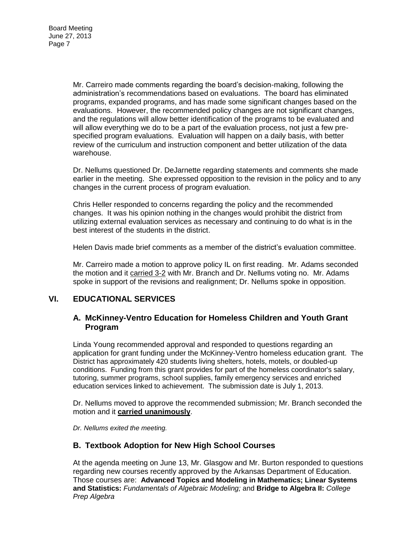Mr. Carreiro made comments regarding the board's decision-making, following the administration's recommendations based on evaluations. The board has eliminated programs, expanded programs, and has made some significant changes based on the evaluations. However, the recommended policy changes are not significant changes, and the regulations will allow better identification of the programs to be evaluated and will allow everything we do to be a part of the evaluation process, not just a few prespecified program evaluations. Evaluation will happen on a daily basis, with better review of the curriculum and instruction component and better utilization of the data warehouse.

Dr. Nellums questioned Dr. DeJarnette regarding statements and comments she made earlier in the meeting. She expressed opposition to the revision in the policy and to any changes in the current process of program evaluation.

Chris Heller responded to concerns regarding the policy and the recommended changes. It was his opinion nothing in the changes would prohibit the district from utilizing external evaluation services as necessary and continuing to do what is in the best interest of the students in the district.

Helen Davis made brief comments as a member of the district's evaluation committee.

Mr. Carreiro made a motion to approve policy IL on first reading. Mr. Adams seconded the motion and it carried 3-2 with Mr. Branch and Dr. Nellums voting no. Mr. Adams spoke in support of the revisions and realignment; Dr. Nellums spoke in opposition.

## **VI. EDUCATIONAL SERVICES**

#### **A. McKinney-Ventro Education for Homeless Children and Youth Grant Program**

Linda Young recommended approval and responded to questions regarding an application for grant funding under the McKinney-Ventro homeless education grant. The District has approximately 420 students living shelters, hotels, motels, or doubled-up conditions. Funding from this grant provides for part of the homeless coordinator's salary, tutoring, summer programs, school supplies, family emergency services and enriched education services linked to achievement. The submission date is July 1, 2013.

Dr. Nellums moved to approve the recommended submission; Mr. Branch seconded the motion and it **carried unanimously**.

*Dr. Nellums exited the meeting.* 

## **B. Textbook Adoption for New High School Courses**

At the agenda meeting on June 13, Mr. Glasgow and Mr. Burton responded to questions regarding new courses recently approved by the Arkansas Department of Education. Those courses are: **Advanced Topics and Modeling in Mathematics; Linear Systems and Statistics:** *Fundamentals of Algebraic Modeling;* and **Bridge to Algebra II:** *College Prep Algebra*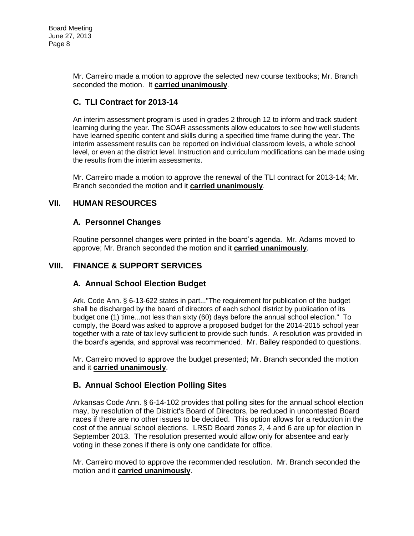Board Meeting June 27, 2013 Page 8

> Mr. Carreiro made a motion to approve the selected new course textbooks; Mr. Branch seconded the motion. It **carried unanimously**.

# **C. TLI Contract for 2013-14**

An interim assessment program is used in grades 2 through 12 to inform and track student learning during the year. The SOAR assessments allow educators to see how well students have learned specific content and skills during a specified time frame during the year. The interim assessment results can be reported on individual classroom levels, a whole school level, or even at the district level. Instruction and curriculum modifications can be made using the results from the interim assessments.

Mr. Carreiro made a motion to approve the renewal of the TLI contract for 2013-14; Mr. Branch seconded the motion and it **carried unanimously**.

## **VII. HUMAN RESOURCES**

## **A. Personnel Changes**

Routine personnel changes were printed in the board's agenda. Mr. Adams moved to approve; Mr. Branch seconded the motion and it **carried unanimously**.

## **VIII. FINANCE & SUPPORT SERVICES**

# **A. Annual School Election Budget**

Ark. Code Ann. § 6-13-622 states in part..."The requirement for publication of the budget shall be discharged by the board of directors of each school district by publication of its budget one (1) time...not less than sixty (60) days before the annual school election." To comply, the Board was asked to approve a proposed budget for the 2014-2015 school year together with a rate of tax levy sufficient to provide such funds. A resolution was provided in the board's agenda, and approval was recommended. Mr. Bailey responded to questions.

Mr. Carreiro moved to approve the budget presented; Mr. Branch seconded the motion and it **carried unanimously**.

# **B. Annual School Election Polling Sites**

Arkansas Code Ann. § 6-14-102 provides that polling sites for the annual school election may, by resolution of the District's Board of Directors, be reduced in uncontested Board races if there are no other issues to be decided. This option allows for a reduction in the cost of the annual school elections. LRSD Board zones 2, 4 and 6 are up for election in September 2013. The resolution presented would allow only for absentee and early voting in these zones if there is only one candidate for office.

Mr. Carreiro moved to approve the recommended resolution. Mr. Branch seconded the motion and it **carried unanimously**.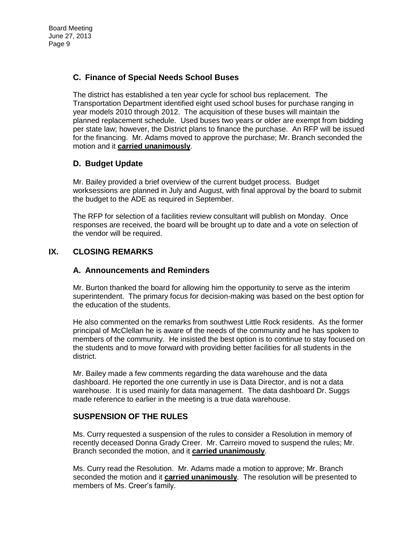# **C. Finance of Special Needs School Buses**

The district has established a ten year cycle for school bus replacement. The Transportation Department identified eight used school buses for purchase ranging in year models 2010 through 2012. The acquisition of these buses will maintain the planned replacement schedule. Used buses two years or older are exempt from bidding per state law; however, the District plans to finance the purchase. An RFP will be issued for the financing. Mr. Adams moved to approve the purchase; Mr. Branch seconded the motion and it **carried unanimously**.

# **D. Budget Update**

Mr. Bailey provided a brief overview of the current budget process. Budget worksessions are planned in July and August, with final approval by the board to submit the budget to the ADE as required in September.

The RFP for selection of a facilities review consultant will publish on Monday. Once responses are received, the board will be brought up to date and a vote on selection of the vendor will be required.

# **IX. CLOSING REMARKS**

#### **A. Announcements and Reminders**

Mr. Burton thanked the board for allowing him the opportunity to serve as the interim superintendent. The primary focus for decision-making was based on the best option for the education of the students.

He also commented on the remarks from southwest Little Rock residents. As the former principal of McClellan he is aware of the needs of the community and he has spoken to members of the community. He insisted the best option is to continue to stay focused on the students and to move forward with providing better facilities for all students in the district.

Mr. Bailey made a few comments regarding the data warehouse and the data dashboard. He reported the one currently in use is Data Director, and is not a data warehouse. It is used mainly for data management. The data dashboard Dr. Suggs made reference to earlier in the meeting is a true data warehouse.

## **SUSPENSION OF THE RULES**

Ms. Curry requested a suspension of the rules to consider a Resolution in memory of recently deceased Donna Grady Creer. Mr. Carreiro moved to suspend the rules; Mr. Branch seconded the motion, and it **carried unanimously**.

Ms. Curry read the Resolution. Mr. Adams made a motion to approve; Mr. Branch seconded the motion and it **carried unanimously**. The resolution will be presented to members of Ms. Creer's family.